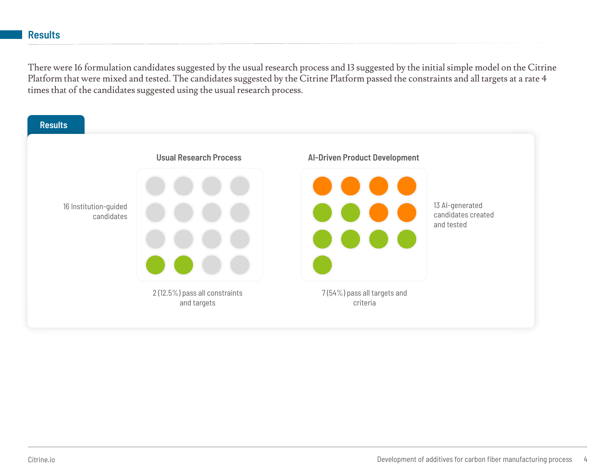There were 16 formulation candidates suggested by the usual research process and 13 suggested by the initial simple PDFKDDD model on the Citrine Platform*KW* BPDW.& \$1PDWWDOORIWKLRD DWROThe IRDODWROuggested by the Citrine Platform passed DOO constraints at a rate 4 times that of the candidates suggested using the usual WWCO earch process.

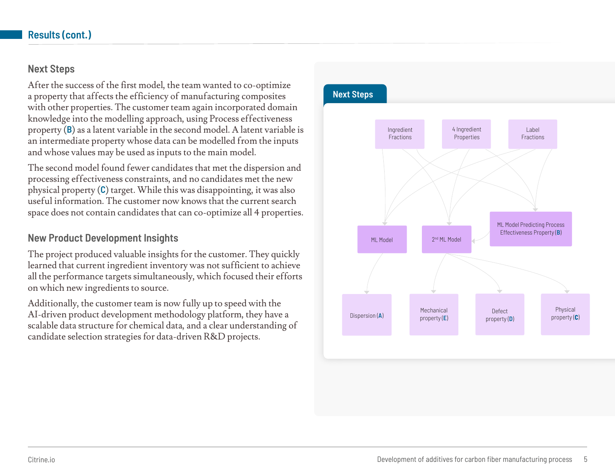## **Next Steps**

After the success of the first model, the team wanted to co-optimize a property that affects the efficiency of manufacturing composites with other properties. The customer team again incorporated domain knowledge into the modeling approach, using process effectiveness property (**B**) as a latent variable in the second model. A latent variable is an intermediate property whose data can be modelled from the inputs and whose values may be used as inputs to the main model.

The second model found fewer candidates that met the dispersion and processing effectiveness constraints, and no candidates met the new physical property (**C**) target. While this was disappointing, it was also useful information. The customer now knows that the current search space does not contain candidates that can co-optimize all 4 properties.

## **New Product Development Insights**

The project produced valuable insights for the customer. They quickly learned that current ingredient inventory was not sufficient to achieve all the performance targets simultaneously, which focused their efforts on which new ingredients to source.

Additionally, the customer team is now fully up to speed with the AIdriven product development methodology, they have a scalable data structure for chemical data, and a clear understanding of candidate selection strategies for data-driven R&D projects.

## **Next Steps**